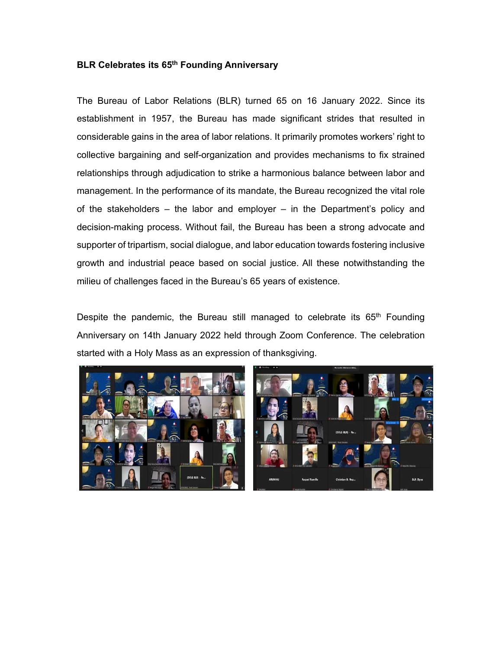## **BLR Celebrates its 65th Founding Anniversary**

The Bureau of Labor Relations (BLR) turned 65 on 16 January 2022. Since its establishment in 1957, the Bureau has made significant strides that resulted in considerable gains in the area of labor relations. It primarily promotes workers' right to collective bargaining and self-organization and provides mechanisms to fix strained relationships through adjudication to strike a harmonious balance between labor and management. In the performance of its mandate, the Bureau recognized the vital role of the stakeholders – the labor and employer – in the Department's policy and decision-making process. Without fail, the Bureau has been a strong advocate and supporter of tripartism, social dialogue, and labor education towards fostering inclusive growth and industrial peace based on social justice. All these notwithstanding the milieu of challenges faced in the Bureau's 65 years of existence.

Despite the pandemic, the Bureau still managed to celebrate its  $65<sup>th</sup>$  Founding Anniversary on 14th January 2022 held through Zoom Conference. The celebration started with a Holy Mass as an expression of thanksgiving.